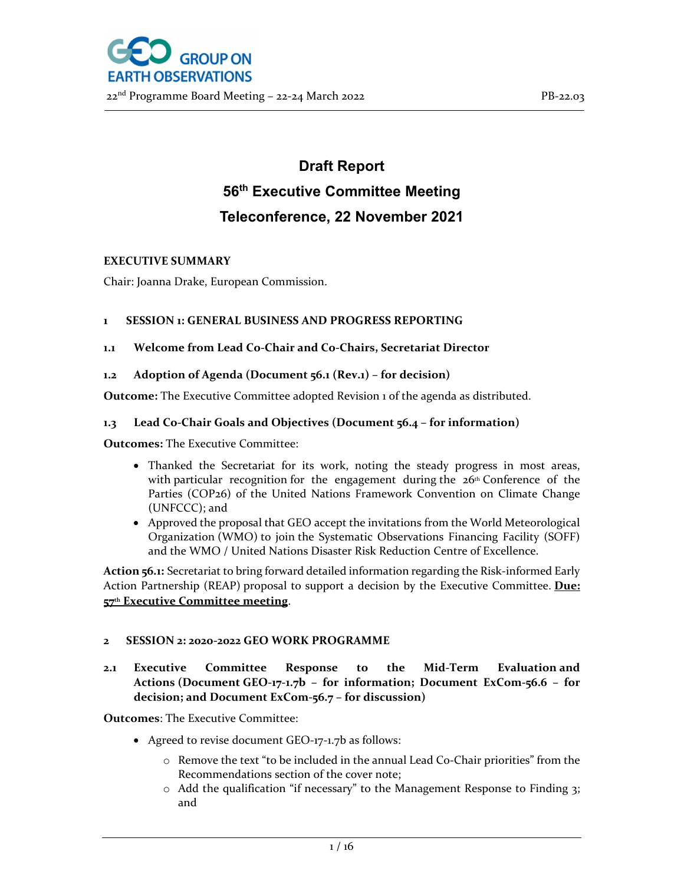

# **Draft Report 56th Executive Committee Meeting Teleconference, 22 November 2021**

#### **EXECUTIVE SUMMARY**

Chair: Joanna Drake, European Commission.

#### **1 SESSION 1: GENERAL BUSINESS AND PROGRESS REPORTING**

## **1.1 Welcome from Lead Co‐Chair and Co‐Chairs, Secretariat Director**

## **1.2 Adoption of Agenda (Document 56.1 (Rev.1) – for decision)**

**Outcome:** The Executive Committee adopted Revision 1 of the agenda as distributed.

#### **1.3 Lead Co‐Chair Goals and Objectives (Document 56.4 – for information)**

**Outcomes:** The Executive Committee:

- Thanked the Secretariat for its work, noting the steady progress in most areas, with particular recognition for the engagement during the  $26<sup>th</sup>$  Conference of the Parties (COP26) of the United Nations Framework Convention on Climate Change (UNFCCC); and
- Approved the proposal that GEO accept the invitations from the World Meteorological Organization (WMO) to join the Systematic Observations Financing Facility (SOFF) and the WMO / United Nations Disaster Risk Reduction Centre of Excellence.

**Action <b>56.1:** Secretariat to bring forward detailed information regarding the Risk-informed Early Action Partnership (REAP) proposal to support a decision by the Executive Committee. **Due: 57th Executive Committee meeting**.

#### **2 SESSION 2: 2020‐2022 GEO WORK PROGRAMME**

## **2.1 Executive Committee Response to the Mid‐Term Evaluation and Actions (Document GEO‐17‐1.7b – for information; Document ExCom‐56.6 – for decision; and Document ExCom‐56.7 – for discussion)**

**Outcomes**: The Executive Committee:

- Agreed to revise document GEO‐17‐1.7b as follows:
	- $\circ$  Remove the text "to be included in the annual Lead Co-Chair priorities" from the Recommendations section of the cover note;
	- o Add the qualification "if necessary" to the Management Response to Finding 3; and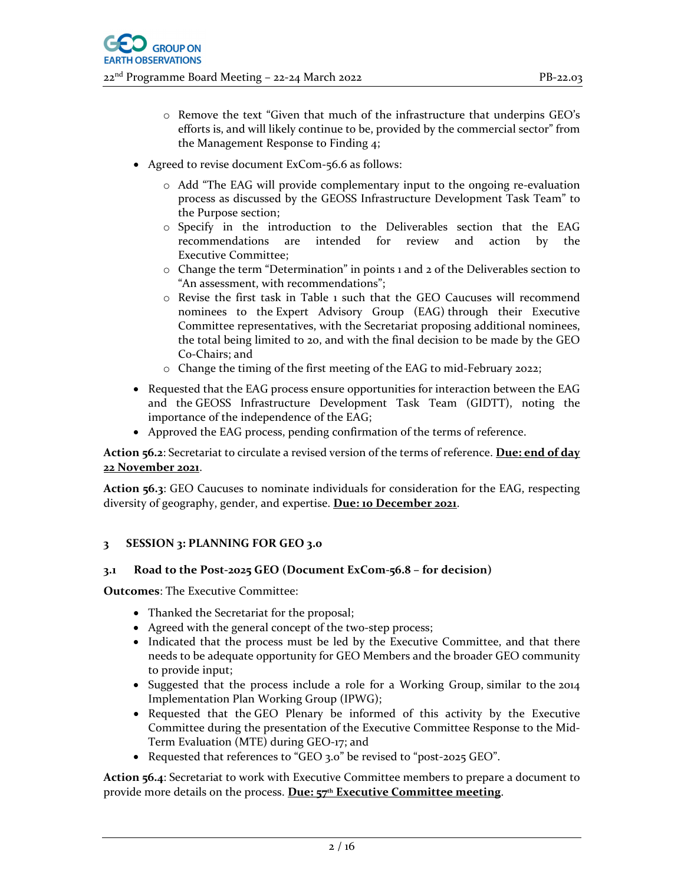- o Remove the text "Given that much of the infrastructure that underpins GEO's efforts is, and will likely continue to be, provided by the commercial sector" from the Management Response to Finding 4;
- Agreed to revise document ExCom-56.6 as follows:
	- o Add "The EAG will provide complementary input to the ongoing re‐evaluation process as discussed by the GEOSS Infrastructure Development Task Team" to the Purpose section;
	- o Specify in the introduction to the Deliverables section that the EAG recommendations are intended for review and action by the Executive Committee;
	- o Change the term "Determination" in points 1 and 2 of the Deliverables section to "An assessment, with recommendations";
	- o Revise the first task in Table 1 such that the GEO Caucuses will recommend nominees to the Expert Advisory Group (EAG) through their Executive Committee representatives, with the Secretariat proposing additional nominees, the total being limited to 20, and with the final decision to be made by the GEO Co‐Chairs; and
	- o Change the timing of the first meeting of the EAG to mid‐February 2022;
- Requested that the EAG process ensure opportunities for interaction between the EAG and the GEOSS Infrastructure Development Task Team (GIDTT), noting the importance of the independence of the EAG;
- Approved the EAG process, pending confirmation of the terms of reference.

**Action 56.2**: Secretariat to circulate a revised version of the terms of reference. **Due: end of day 22 November 2021**.

**Action 56.3**: GEO Caucuses to nominate individuals for consideration for the EAG, respecting diversity of geography, gender, and expertise. **Due: 10 December 2021**.

#### **3 SESSION 3: PLANNING FOR GEO 3.0**

#### **3.1 Road to the Post‐2025 GEO (Document ExCom‐56.8 – for decision)**

**Outcomes**: The Executive Committee:

- Thanked the Secretariat for the proposal;
- Agreed with the general concept of the two-step process;
- Indicated that the process must be led by the Executive Committee, and that there needs to be adequate opportunity for GEO Members and the broader GEO community to provide input;
- Suggested that the process include a role for a Working Group, similar to the 2014 Implementation Plan Working Group (IPWG);
- Requested that the GEO Plenary be informed of this activity by the Executive Committee during the presentation of the Executive Committee Response to the Mid‐ Term Evaluation (MTE) during GEO‐17; and
- Requested that references to "GEO 3.0" be revised to "post‐2025 GEO".

**Action 56.4**: Secretariat to work with Executive Committee members to prepare a document to provide more details on the process. **Due: 57th Executive Committee meeting**.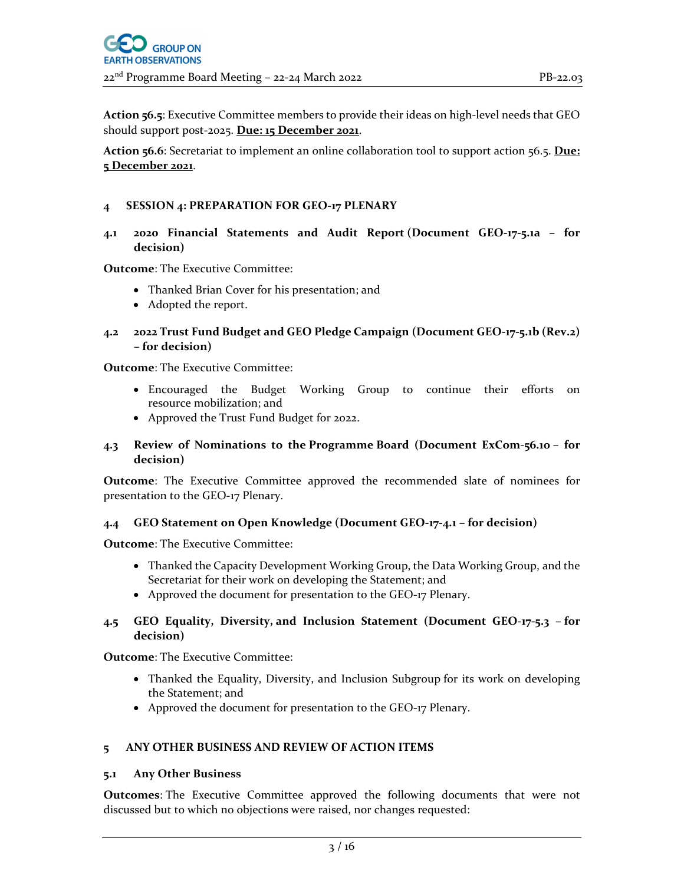**Action <b>56.5**: Executive Committee members to provide their ideas on high-level needs that GEO should support post‐2025. **Due: 15 December 2021**.

**Action 56.6**: Secretariat to implement an online collaboration tool to support action 56.5. **Due: 5 December 2021**.

#### **4 SESSION 4: PREPARATION FOR GEO‐17 PLENARY**

**4.1 2020 Financial Statements and Audit Report (Document GEO‐17‐5.1a – for decision)** 

**Outcome**: The Executive Committee:

- Thanked Brian Cover for his presentation; and
- Adopted the report.
- **4.2 2022 Trust Fund Budget and GEO Pledge Campaign (Document GEO‐17‐5.1b (Rev.2) – for decision)**

**Outcome**: The Executive Committee:

- Encouraged the Budget Working Group to continue their efforts on resource mobilization; and
- Approved the Trust Fund Budget for 2022.

#### **4.3 Review of Nominations to the Programme Board (Document ExCom‐56.10 – for decision)**

**Outcome**: The Executive Committee approved the recommended slate of nominees for presentation to the GEO‐17 Plenary.

#### **4.4 GEO Statement on Open Knowledge (Document GEO‐17‐4.1 – for decision)**

**Outcome**: The Executive Committee:

- Thanked the Capacity Development Working Group, the Data Working Group, and the Secretariat for their work on developing the Statement; and
- Approved the document for presentation to the GEO-17 Plenary.

#### **4.5 GEO Equality, Diversity, and Inclusion Statement (Document GEO‐17‐5.3 – for decision)**

**Outcome**: The Executive Committee:

- Thanked the Equality, Diversity, and Inclusion Subgroup for its work on developing the Statement; and
- Approved the document for presentation to the GEO‐17 Plenary.

## **5 ANY OTHER BUSINESS AND REVIEW OF ACTION ITEMS**

#### **5.1 Any Other Business**

**Outcomes**: The Executive Committee approved the following documents that were not discussed but to which no objections were raised, nor changes requested: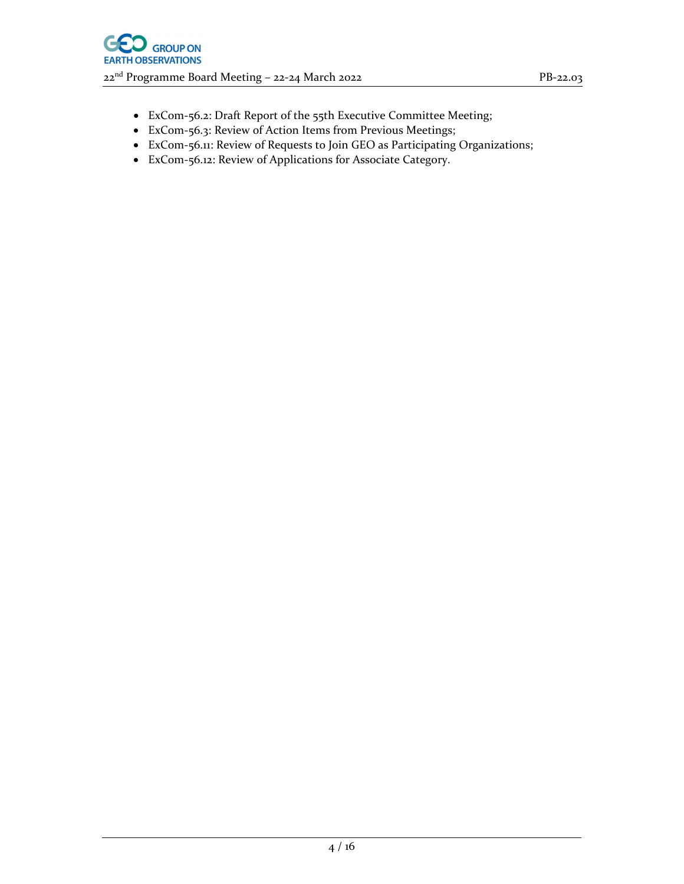- ExCom‐56.2: Draft Report of the 55th Executive Committee Meeting;
- ExCom‐56.3: Review of Action Items from Previous Meetings;
- ExCom‐56.11: Review of Requests to Join GEO as Participating Organizations;
- ExCom‐56.12: Review of Applications for Associate Category.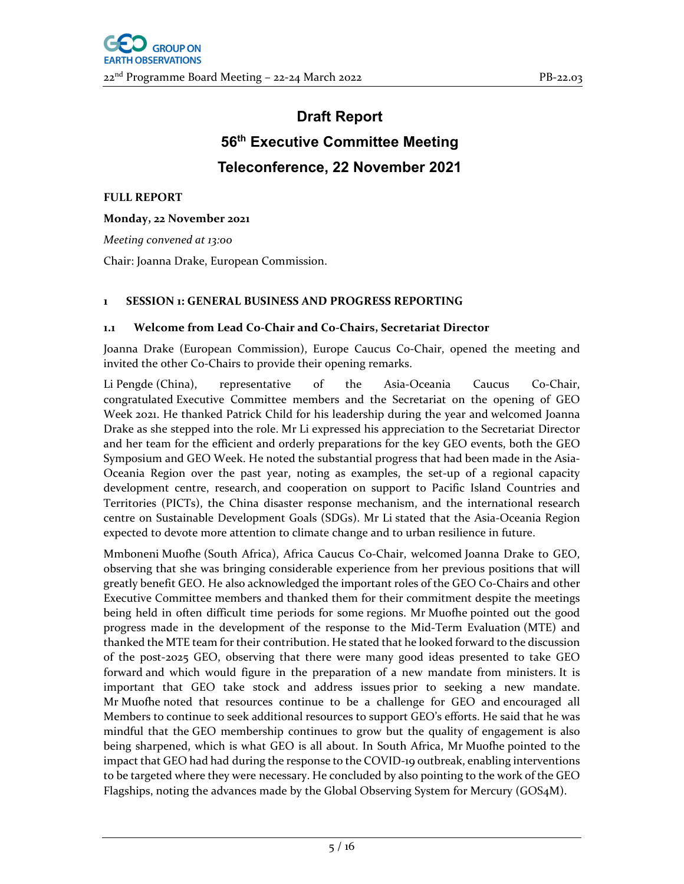# **Draft Report 56th Executive Committee Meeting Teleconference, 22 November 2021**

**FULL REPORT**

**Monday, 22 November 2021**

*Meeting convened at 13:00*

Chair: Joanna Drake, European Commission.

## **1 SESSION 1: GENERAL BUSINESS AND PROGRESS REPORTING**

#### **1.1 Welcome from Lead Co‐Chair and Co‐Chairs, Secretariat Director**

Joanna Drake (European Commission), Europe Caucus Co‐Chair, opened the meeting and invited the other Co‐Chairs to provide their opening remarks.

Li Pengde (China), representative of the Asia-Oceania Caucus Co-Chair, congratulated Executive Committee members and the Secretariat on the opening of GEO Week 2021. He thanked Patrick Child for his leadership during the year and welcomed Joanna Drake as she stepped into the role. Mr Li expressed his appreciation to the Secretariat Director and her team for the efficient and orderly preparations for the key GEO events, both the GEO Symposium and GEO Week. He noted the substantial progress that had been made in the Asia‐ Oceania Region over the past year, noting as examples, the set‐up of a regional capacity development centre, research, and cooperation on support to Pacific Island Countries and Territories (PICTs), the China disaster response mechanism, and the international research centre on Sustainable Development Goals (SDGs). Mr Li stated that the Asia‐Oceania Region expected to devote more attention to climate change and to urban resilience in future.

Mmboneni Muofhe (South Africa), Africa Caucus Co‐Chair, welcomed Joanna Drake to GEO, observing that she was bringing considerable experience from her previous positions that will greatly benefit GEO. He also acknowledged the important roles of the GEO Co‐Chairs and other Executive Committee members and thanked them for their commitment despite the meetings being held in often difficult time periods for some regions. Mr Muofhe pointed out the good progress made in the development of the response to the Mid‐Term Evaluation (MTE) and thanked the MTE team for their contribution. He stated that he looked forward to the discussion of the post‐2025 GEO, observing that there were many good ideas presented to take GEO forward and which would figure in the preparation of a new mandate from ministers. It is important that GEO take stock and address issues prior to seeking a new mandate. Mr Muofhe noted that resources continue to be a challenge for GEO and encouraged all Members to continue to seek additional resources to support GEO's efforts. He said that he was mindful that the GEO membership continues to grow but the quality of engagement is also being sharpened, which is what GEO is all about. In South Africa, Mr Muofhe pointed to the impact that GEO had had during the response to the COVID-19 outbreak, enabling interventions to be targeted where they were necessary. He concluded by also pointing to the work of the GEO Flagships, noting the advances made by the Global Observing System for Mercury (GOS4M).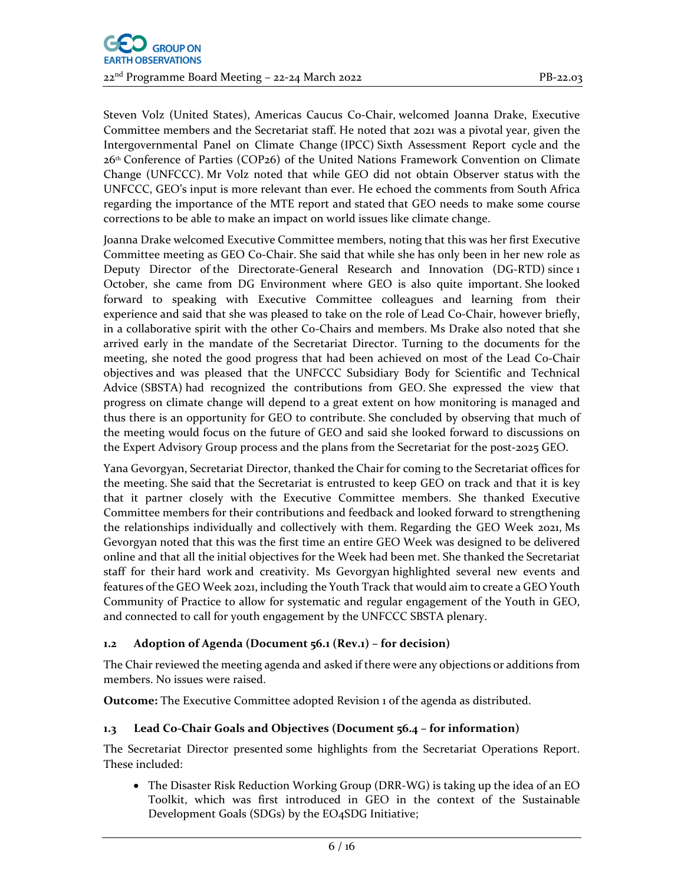Steven Volz (United States), Americas Caucus Co‐Chair, welcomed Joanna Drake, Executive Committee members and the Secretariat staff. He noted that 2021 was a pivotal year, given the Intergovernmental Panel on Climate Change (IPCC) Sixth Assessment Report cycle and the 26th Conference of Parties (COP26) of the United Nations Framework Convention on Climate Change (UNFCCC). Mr Volz noted that while GEO did not obtain Observer status with the UNFCCC, GEO's input is more relevant than ever. He echoed the comments from South Africa regarding the importance of the MTE report and stated that GEO needs to make some course corrections to be able to make an impact on world issues like climate change.

Joanna Drake welcomed Executive Committee members, noting that this was her first Executive Committee meeting as GEO Co‐Chair. She said that while she has only been in her new role as Deputy Director of the Directorate‐General Research and Innovation (DG‐RTD) since 1 October, she came from DG Environment where GEO is also quite important. She looked forward to speaking with Executive Committee colleagues and learning from their experience and said that she was pleased to take on the role of Lead Co-Chair, however briefly, in a collaborative spirit with the other Co‐Chairs and members. Ms Drake also noted that she arrived early in the mandate of the Secretariat Director. Turning to the documents for the meeting, she noted the good progress that had been achieved on most of the Lead Co-Chair objectives and was pleased that the UNFCCC Subsidiary Body for Scientific and Technical Advice (SBSTA) had recognized the contributions from GEO. She expressed the view that progress on climate change will depend to a great extent on how monitoring is managed and thus there is an opportunity for GEO to contribute. She concluded by observing that much of the meeting would focus on the future of GEO and said she looked forward to discussions on the Expert Advisory Group process and the plans from the Secretariat for the post‐2025 GEO.

Yana Gevorgyan, Secretariat Director, thanked the Chair for coming to the Secretariat offices for the meeting. She said that the Secretariat is entrusted to keep GEO on track and that it is key that it partner closely with the Executive Committee members. She thanked Executive Committee members for their contributions and feedback and looked forward to strengthening the relationships individually and collectively with them. Regarding the GEO Week 2021, Ms Gevorgyan noted that this was the first time an entire GEO Week was designed to be delivered online and that all the initial objectives for the Week had been met. She thanked the Secretariat staff for their hard work and creativity. Ms Gevorgyan highlighted several new events and features of the GEO Week 2021, including the Youth Track that would aim to create a GEO Youth Community of Practice to allow for systematic and regular engagement of the Youth in GEO, and connected to call for youth engagement by the UNFCCC SBSTA plenary.

## **1.2 Adoption of Agenda (Document 56.1 (Rev.1) – for decision)**

The Chair reviewed the meeting agenda and asked if there were any objections or additions from members. No issues were raised.

**Outcome:** The Executive Committee adopted Revision 1 of the agenda as distributed.

## **1.3 Lead Co‐Chair Goals and Objectives (Document 56.4 – for information)**

The Secretariat Director presented some highlights from the Secretariat Operations Report. These included:

 The Disaster Risk Reduction Working Group (DRR‐WG) is taking up the idea of an EO Toolkit, which was first introduced in GEO in the context of the Sustainable Development Goals (SDGs) by the EO4SDG Initiative;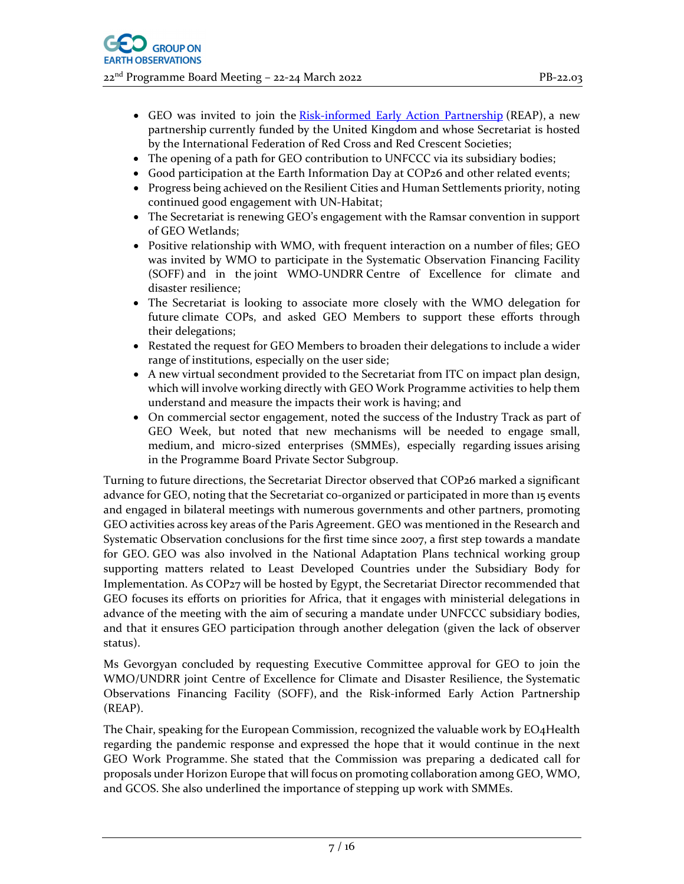- GEO was invited to join the Risk-informed Early Action Partnership (REAP), a new partnership currently funded by the United Kingdom and whose Secretariat is hosted by the International Federation of Red Cross and Red Crescent Societies;
- The opening of a path for GEO contribution to UNFCCC via its subsidiary bodies;
- Good participation at the Earth Information Day at COP26 and other related events;
- Progress being achieved on the Resilient Cities and Human Settlements priority, noting continued good engagement with UN‐Habitat;
- The Secretariat is renewing GEO's engagement with the Ramsar convention in support of GEO Wetlands;
- Positive relationship with WMO, with frequent interaction on a number of files; GEO was invited by WMO to participate in the Systematic Observation Financing Facility (SOFF) and in the joint WMO‐UNDRR Centre of Excellence for climate and disaster resilience;
- The Secretariat is looking to associate more closely with the WMO delegation for future climate COPs, and asked GEO Members to support these efforts through their delegations;
- Restated the request for GEO Members to broaden their delegations to include a wider range of institutions, especially on the user side;
- A new virtual secondment provided to the Secretariat from ITC on impact plan design, which will involve working directly with GEO Work Programme activities to help them understand and measure the impacts their work is having; and
- On commercial sector engagement, noted the success of the Industry Track as part of GEO Week, but noted that new mechanisms will be needed to engage small, medium, and micro-sized enterprises (SMMEs), especially regarding issues arising in the Programme Board Private Sector Subgroup.

Turning to future directions, the Secretariat Director observed that COP26 marked a significant advance for GEO, noting that the Secretariat co-organized or participated in more than 15 events and engaged in bilateral meetings with numerous governments and other partners, promoting GEO activities across key areas of the Paris Agreement. GEO was mentioned in the Research and Systematic Observation conclusions for the first time since 2007, a first step towards a mandate for GEO. GEO was also involved in the National Adaptation Plans technical working group supporting matters related to Least Developed Countries under the Subsidiary Body for Implementation. As COP27 will be hosted by Egypt, the Secretariat Director recommended that GEO focuses its efforts on priorities for Africa, that it engages with ministerial delegations in advance of the meeting with the aim of securing a mandate under UNFCCC subsidiary bodies, and that it ensures GEO participation through another delegation (given the lack of observer status).

Ms Gevorgyan concluded by requesting Executive Committee approval for GEO to join the WMO/UNDRR joint Centre of Excellence for Climate and Disaster Resilience, the Systematic Observations Financing Facility (SOFF), and the Risk‐informed Early Action Partnership (REAP).

The Chair, speaking for the European Commission, recognized the valuable work by EO4Health regarding the pandemic response and expressed the hope that it would continue in the next GEO Work Programme. She stated that the Commission was preparing a dedicated call for proposals under Horizon Europe that will focus on promoting collaboration among GEO, WMO, and GCOS. She also underlined the importance of stepping up work with SMMEs.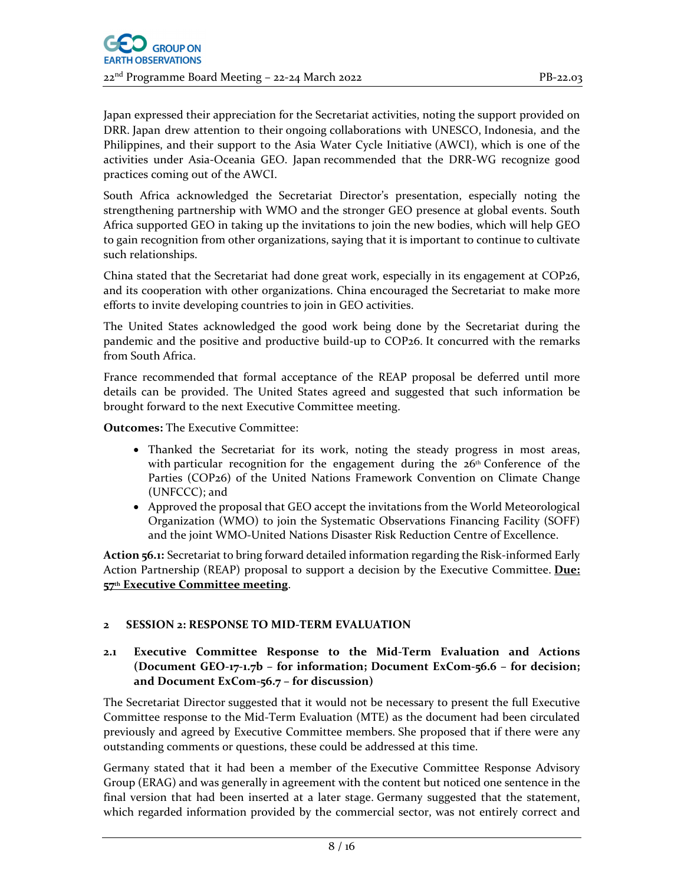Japan expressed their appreciation for the Secretariat activities, noting the support provided on DRR. Japan drew attention to their ongoing collaborations with UNESCO, Indonesia, and the Philippines, and their support to the Asia Water Cycle Initiative (AWCI), which is one of the activities under Asia‐Oceania GEO. Japan recommended that the DRR‐WG recognize good practices coming out of the AWCI.

South Africa acknowledged the Secretariat Director's presentation, especially noting the strengthening partnership with WMO and the stronger GEO presence at global events. South Africa supported GEO in taking up the invitations to join the new bodies, which will help GEO to gain recognition from other organizations, saying that it is important to continue to cultivate such relationships.

China stated that the Secretariat had done great work, especially in its engagement at COP26, and its cooperation with other organizations. China encouraged the Secretariat to make more efforts to invite developing countries to join in GEO activities.

The United States acknowledged the good work being done by the Secretariat during the pandemic and the positive and productive build-up to COP26. It concurred with the remarks from South Africa.

France recommended that formal acceptance of the REAP proposal be deferred until more details can be provided. The United States agreed and suggested that such information be brought forward to the next Executive Committee meeting.

**Outcomes:** The Executive Committee:

- Thanked the Secretariat for its work, noting the steady progress in most areas, with particular recognition for the engagement during the  $26<sup>th</sup>$  Conference of the Parties (COP26) of the United Nations Framework Convention on Climate Change (UNFCCC); and
- Approved the proposal that GEO accept the invitations from the World Meteorological Organization (WMO) to join the Systematic Observations Financing Facility (SOFF) and the joint WMO‐United Nations Disaster Risk Reduction Centre of Excellence.

**Action <b>56.1:** Secretariat to bring forward detailed information regarding the Risk-informed Early Action Partnership (REAP) proposal to support a decision by the Executive Committee. **Due: 57th Executive Committee meeting**.

## **2 SESSION 2: RESPONSE TO MID‐TERM EVALUATION**

## **2.1 Executive Committee Response to the Mid‐Term Evaluation and Actions (Document GEO‐17‐1.7b – for information; Document ExCom‐56.6 – for decision; and Document ExCom‐56.7 – for discussion)**

The Secretariat Director suggested that it would not be necessary to present the full Executive Committee response to the Mid‐Term Evaluation (MTE) as the document had been circulated previously and agreed by Executive Committee members. She proposed that if there were any outstanding comments or questions, these could be addressed at this time.

Germany stated that it had been a member of the Executive Committee Response Advisory Group (ERAG) and was generally in agreement with the content but noticed one sentence in the final version that had been inserted at a later stage. Germany suggested that the statement, which regarded information provided by the commercial sector, was not entirely correct and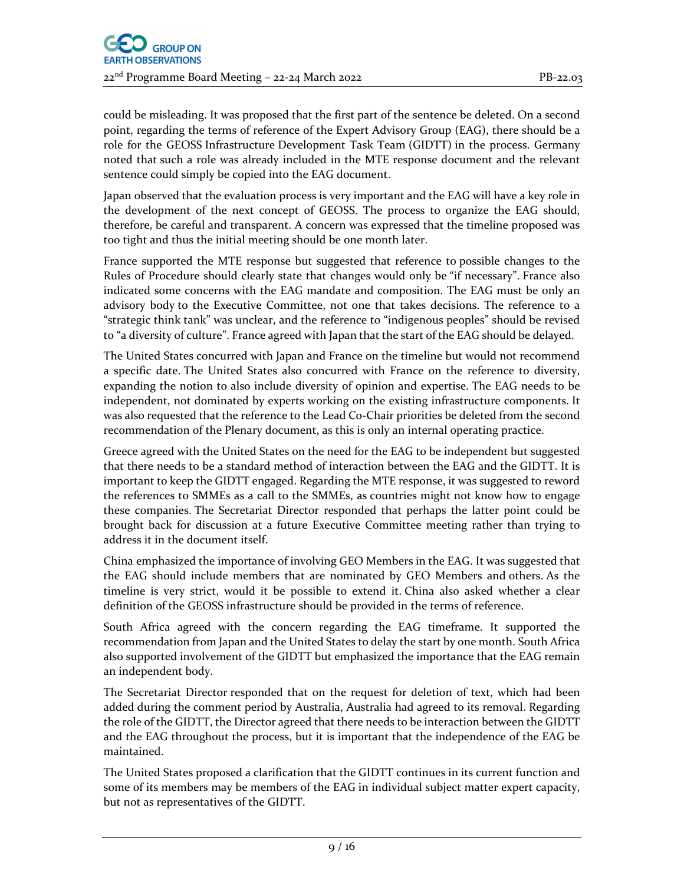could be misleading. It was proposed that the first part of the sentence be deleted. On a second point, regarding the terms of reference of the Expert Advisory Group (EAG), there should be a role for the GEOSS Infrastructure Development Task Team (GIDTT) in the process. Germany noted that such a role was already included in the MTE response document and the relevant sentence could simply be copied into the EAG document.

Japan observed that the evaluation process is very important and the EAG will have a key role in the development of the next concept of GEOSS. The process to organize the EAG should, therefore, be careful and transparent. A concern was expressed that the timeline proposed was too tight and thus the initial meeting should be one month later.

France supported the MTE response but suggested that reference to possible changes to the Rules of Procedure should clearly state that changes would only be "if necessary". France also indicated some concerns with the EAG mandate and composition. The EAG must be only an advisory body to the Executive Committee, not one that takes decisions. The reference to a "strategic think tank" was unclear, and the reference to "indigenous peoples" should be revised to "a diversity of culture". France agreed with Japan that the start of the EAG should be delayed.

The United States concurred with Japan and France on the timeline but would not recommend a specific date. The United States also concurred with France on the reference to diversity, expanding the notion to also include diversity of opinion and expertise. The EAG needs to be independent, not dominated by experts working on the existing infrastructure components. It was also requested that the reference to the Lead Co‐Chair priorities be deleted from the second recommendation of the Plenary document, as this is only an internal operating practice.

Greece agreed with the United States on the need for the EAG to be independent but suggested that there needs to be a standard method of interaction between the EAG and the GIDTT. It is important to keep the GIDTT engaged. Regarding the MTE response, it was suggested to reword the references to SMMEs as a call to the SMMEs, as countries might not know how to engage these companies. The Secretariat Director responded that perhaps the latter point could be brought back for discussion at a future Executive Committee meeting rather than trying to address it in the document itself.

China emphasized the importance of involving GEO Members in the EAG. It was suggested that the EAG should include members that are nominated by GEO Members and others. As the timeline is very strict, would it be possible to extend it. China also asked whether a clear definition of the GEOSS infrastructure should be provided in the terms of reference.

South Africa agreed with the concern regarding the EAG timeframe. It supported the recommendation from Japan and the United States to delay the start by one month. South Africa also supported involvement of the GIDTT but emphasized the importance that the EAG remain an independent body.

The Secretariat Director responded that on the request for deletion of text, which had been added during the comment period by Australia, Australia had agreed to its removal. Regarding the role of the GIDTT, the Director agreed that there needs to be interaction between the GIDTT and the EAG throughout the process, but it is important that the independence of the EAG be maintained.

The United States proposed a clarification that the GIDTT continues in its current function and some of its members may be members of the EAG in individual subject matter expert capacity, but not as representatives of the GIDTT.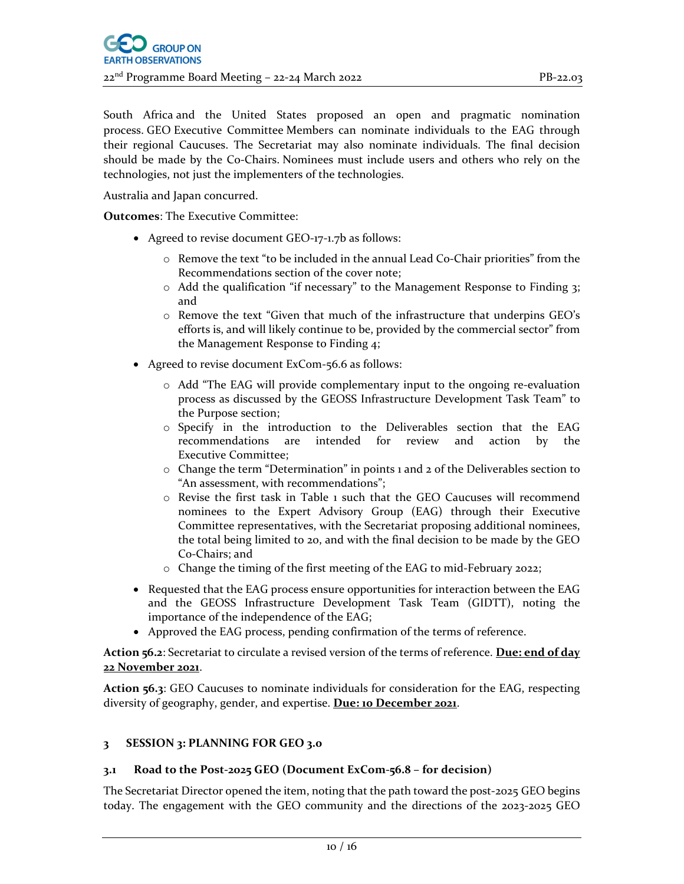South Africa and the United States proposed an open and pragmatic nomination process. GEO Executive Committee Members can nominate individuals to the EAG through their regional Caucuses. The Secretariat may also nominate individuals. The final decision should be made by the Co-Chairs. Nominees must include users and others who rely on the technologies, not just the implementers of the technologies.

Australia and Japan concurred.

**Outcomes**: The Executive Committee:

- Agreed to revise document GEO‐17‐1.7b as follows:
	- $\circ$  Remove the text "to be included in the annual Lead Co-Chair priorities" from the Recommendations section of the cover note;
	- o Add the qualification "if necessary" to the Management Response to Finding 3; and
	- o Remove the text "Given that much of the infrastructure that underpins GEO's efforts is, and will likely continue to be, provided by the commercial sector" from the Management Response to Finding 4;
- Agreed to revise document ExCom‐56.6 as follows:
	- o Add "The EAG will provide complementary input to the ongoing re‐evaluation process as discussed by the GEOSS Infrastructure Development Task Team" to the Purpose section;
	- o Specify in the introduction to the Deliverables section that the EAG recommendations are intended for review and action by the Executive Committee;
	- o Change the term "Determination" in points 1 and 2 of the Deliverables section to "An assessment, with recommendations";
	- o Revise the first task in Table 1 such that the GEO Caucuses will recommend nominees to the Expert Advisory Group (EAG) through their Executive Committee representatives, with the Secretariat proposing additional nominees, the total being limited to 20, and with the final decision to be made by the GEO Co‐Chairs; and
	- o Change the timing of the first meeting of the EAG to mid‐February 2022;
- Requested that the EAG process ensure opportunities for interaction between the EAG and the GEOSS Infrastructure Development Task Team (GIDTT), noting the importance of the independence of the EAG;
- Approved the EAG process, pending confirmation of the terms of reference.

**Action 56.2**: Secretariat to circulate a revised version of the terms of reference. **Due: end of day 22 November 2021**.

**Action 56.3**: GEO Caucuses to nominate individuals for consideration for the EAG, respecting diversity of geography, gender, and expertise. **Due: 10 December 2021**.

#### **3 SESSION 3: PLANNING FOR GEO 3.0**

#### **3.1 Road to the Post‐2025 GEO (Document ExCom‐56.8 – for decision)**

The Secretariat Director opened the item, noting that the path toward the post-2025 GEO begins today. The engagement with the GEO community and the directions of the 2023‐2025 GEO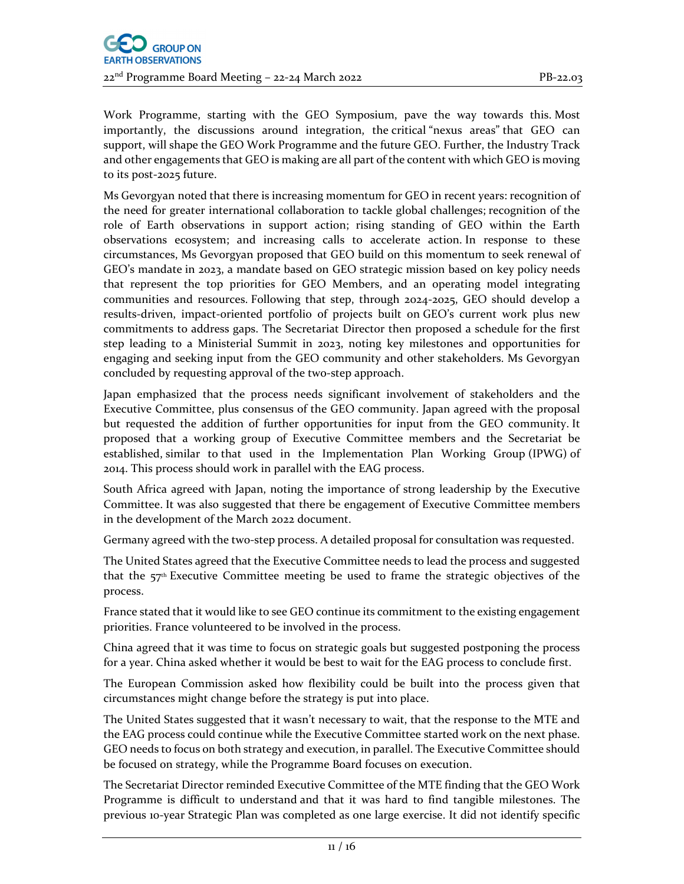Work Programme, starting with the GEO Symposium, pave the way towards this. Most importantly, the discussions around integration, the critical "nexus areas" that GEO can support, will shape the GEO Work Programme and the future GEO. Further, the Industry Track and other engagements that GEO is making are all part of the content with which GEO is moving to its post‐2025 future.

Ms Gevorgyan noted that there is increasing momentum for GEO in recent years: recognition of the need for greater international collaboration to tackle global challenges; recognition of the role of Earth observations in support action; rising standing of GEO within the Earth observations ecosystem; and increasing calls to accelerate action. In response to these circumstances, Ms Gevorgyan proposed that GEO build on this momentum to seek renewal of GEO's mandate in 2023, a mandate based on GEO strategic mission based on key policy needs that represent the top priorities for GEO Members, and an operating model integrating communities and resources. Following that step, through 2024‐2025, GEO should develop a results‐driven, impact‐oriented portfolio of projects built on GEO's current work plus new commitments to address gaps. The Secretariat Director then proposed a schedule for the first step leading to a Ministerial Summit in 2023, noting key milestones and opportunities for engaging and seeking input from the GEO community and other stakeholders. Ms Gevorgyan concluded by requesting approval of the two‐step approach.

Japan emphasized that the process needs significant involvement of stakeholders and the Executive Committee, plus consensus of the GEO community. Japan agreed with the proposal but requested the addition of further opportunities for input from the GEO community. It proposed that a working group of Executive Committee members and the Secretariat be established, similar to that used in the Implementation Plan Working Group (IPWG) of 2014. This process should work in parallel with the EAG process.

South Africa agreed with Japan, noting the importance of strong leadership by the Executive Committee. It was also suggested that there be engagement of Executive Committee members in the development of the March 2022 document.

Germany agreed with the two‐step process. A detailed proposal for consultation was requested.

The United States agreed that the Executive Committee needs to lead the process and suggested that the  $57<sup>th</sup>$  Executive Committee meeting be used to frame the strategic objectives of the process.

France stated that it would like to see GEO continue its commitment to the existing engagement priorities. France volunteered to be involved in the process.

China agreed that it was time to focus on strategic goals but suggested postponing the process for a year. China asked whether it would be best to wait for the EAG process to conclude first.

The European Commission asked how flexibility could be built into the process given that circumstances might change before the strategy is put into place.

The United States suggested that it wasn't necessary to wait, that the response to the MTE and the EAG process could continue while the Executive Committee started work on the next phase. GEO needs to focus on both strategy and execution, in parallel. The Executive Committee should be focused on strategy, while the Programme Board focuses on execution.

The Secretariat Director reminded Executive Committee of the MTE finding that the GEO Work Programme is difficult to understand and that it was hard to find tangible milestones. The previous 10‐year Strategic Plan was completed as one large exercise. It did not identify specific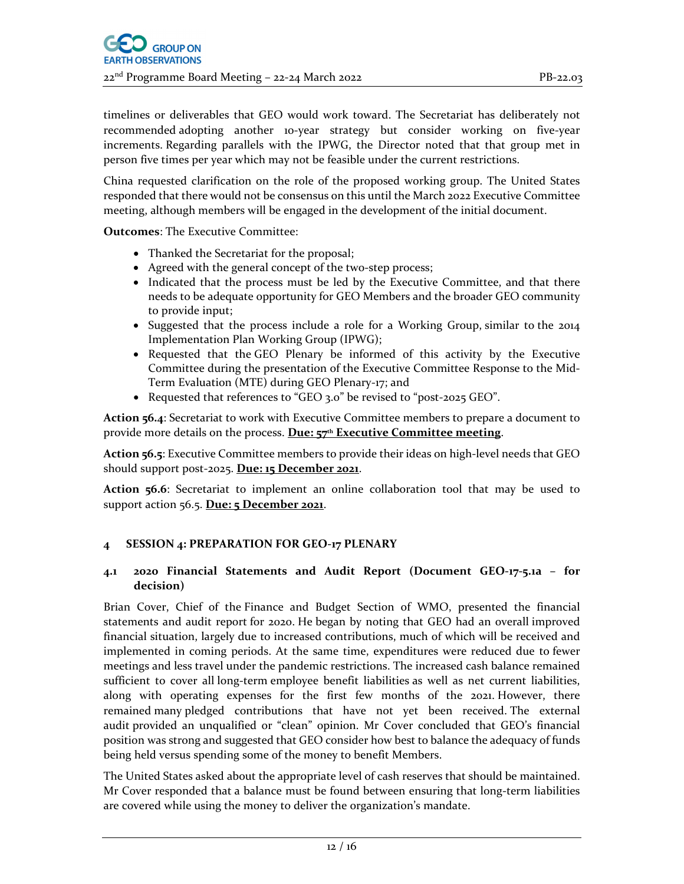timelines or deliverables that GEO would work toward. The Secretariat has deliberately not recommended adopting another 10‐year strategy but consider working on five‐year increments. Regarding parallels with the IPWG, the Director noted that that group met in person five times per year which may not be feasible under the current restrictions.

China requested clarification on the role of the proposed working group. The United States responded that there would not be consensus on this until the March 2022 Executive Committee meeting, although members will be engaged in the development of the initial document.

**Outcomes**: The Executive Committee:

- Thanked the Secretariat for the proposal;
- Agreed with the general concept of the two-step process;
- Indicated that the process must be led by the Executive Committee, and that there needs to be adequate opportunity for GEO Members and the broader GEO community to provide input;
- Suggested that the process include a role for a Working Group, similar to the 2014 Implementation Plan Working Group (IPWG);
- Requested that the GEO Plenary be informed of this activity by the Executive Committee during the presentation of the Executive Committee Response to the Mid‐ Term Evaluation (MTE) during GEO Plenary‐17; and
- Requested that references to "GEO 3.0" be revised to "post‐2025 GEO".

**Action 56.4**: Secretariat to work with Executive Committee members to prepare a document to provide more details on the process. **Due: 57th Executive Committee meeting**.

**Action <b>56.5**: Executive Committee members to provide their ideas on high-level needs that GEO should support post‐2025. **Due: 15 December 2021**.

**Action 56.6**: Secretariat to implement an online collaboration tool that may be used to support action 56.5. **Due: 5 December 2021**.

## **4 SESSION 4: PREPARATION FOR GEO‐17 PLENARY**

#### **4.1 2020 Financial Statements and Audit Report (Document GEO‐17‐5.1a – for decision)**

Brian Cover, Chief of the Finance and Budget Section of WMO, presented the financial statements and audit report for 2020. He began by noting that GEO had an overall improved financial situation, largely due to increased contributions, much of which will be received and implemented in coming periods. At the same time, expenditures were reduced due to fewer meetings and less travel under the pandemic restrictions. The increased cash balance remained sufficient to cover all long-term employee benefit liabilities as well as net current liabilities, along with operating expenses for the first few months of the 2021. However, there remained many pledged contributions that have not yet been received. The external audit provided an unqualified or "clean" opinion. Mr Cover concluded that GEO's financial position was strong and suggested that GEO consider how best to balance the adequacy of funds being held versus spending some of the money to benefit Members.

The United States asked about the appropriate level of cash reserves that should be maintained. Mr Cover responded that a balance must be found between ensuring that long-term liabilities are covered while using the money to deliver the organization's mandate.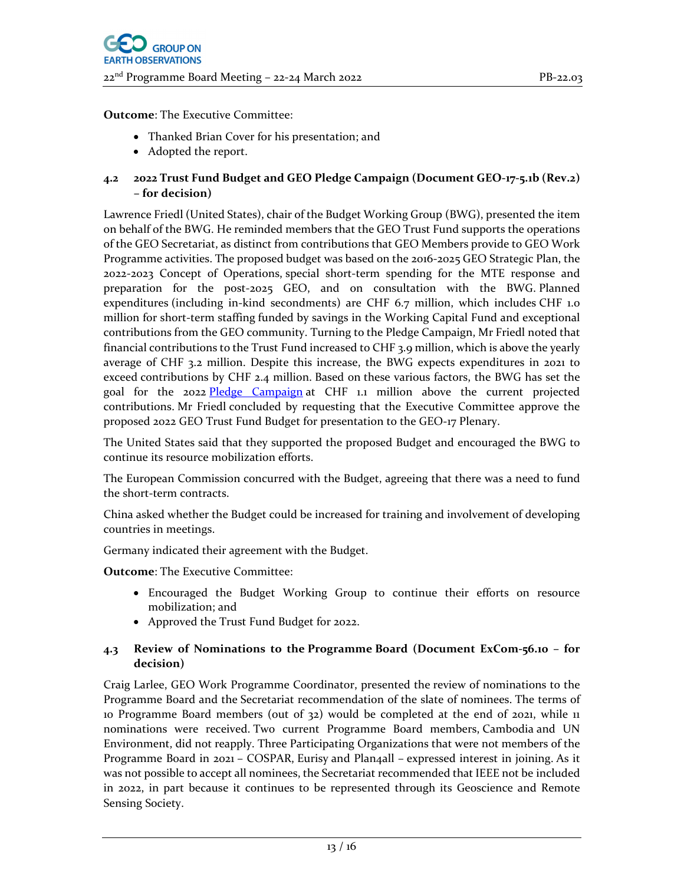**Outcome**: The Executive Committee:

- Thanked Brian Cover for his presentation; and
- Adopted the report.

## **4.2 2022 Trust Fund Budget and GEO Pledge Campaign (Document GEO‐17‐5.1b (Rev.2) – for decision)**

Lawrence Friedl (United States), chair of the Budget Working Group (BWG), presented the item on behalf of the BWG. He reminded members that the GEO Trust Fund supports the operations of the GEO Secretariat, as distinct from contributions that GEO Members provide to GEO Work Programme activities. The proposed budget was based on the 2016‐2025 GEO Strategic Plan, the 2022‐2023 Concept of Operations, special short‐term spending for the MTE response and preparation for the post-2025 GEO, and on consultation with the BWG. Planned expenditures (including in‐kind secondments) are CHF 6.7 million, which includes CHF 1.0 million for short-term staffing funded by savings in the Working Capital Fund and exceptional contributions from the GEO community. Turning to the Pledge Campaign, Mr Friedl noted that financial contributions to the Trust Fund increased to CHF 3.9 million, which is above the yearly average of CHF 3.2 million. Despite this increase, the BWG expects expenditures in 2021 to exceed contributions by CHF 2.4 million. Based on these various factors, the BWG has set the goal for the 2022 Pledge Campaign at CHF 1.1 million above the current projected contributions. Mr Friedl concluded by requesting that the Executive Committee approve the proposed 2022 GEO Trust Fund Budget for presentation to the GEO‐17 Plenary.

The United States said that they supported the proposed Budget and encouraged the BWG to continue its resource mobilization efforts.

The European Commission concurred with the Budget, agreeing that there was a need to fund the short‐term contracts.

China asked whether the Budget could be increased for training and involvement of developing countries in meetings.

Germany indicated their agreement with the Budget.

**Outcome**: The Executive Committee:

- Encouraged the Budget Working Group to continue their efforts on resource mobilization; and
- Approved the Trust Fund Budget for 2022.

## **4.3 Review of Nominations to the Programme Board (Document ExCom‐56.10 – for decision)**

Craig Larlee, GEO Work Programme Coordinator, presented the review of nominations to the Programme Board and the Secretariat recommendation of the slate of nominees. The terms of 10 Programme Board members (out of 32) would be completed at the end of 2021, while 11 nominations were received. Two current Programme Board members, Cambodia and UN Environment, did not reapply. Three Participating Organizations that were not members of the Programme Board in 2021 – COSPAR, Eurisy and Plan4all – expressed interest in joining. As it was not possible to accept all nominees, the Secretariat recommended that IEEE not be included in 2022, in part because it continues to be represented through its Geoscience and Remote Sensing Society.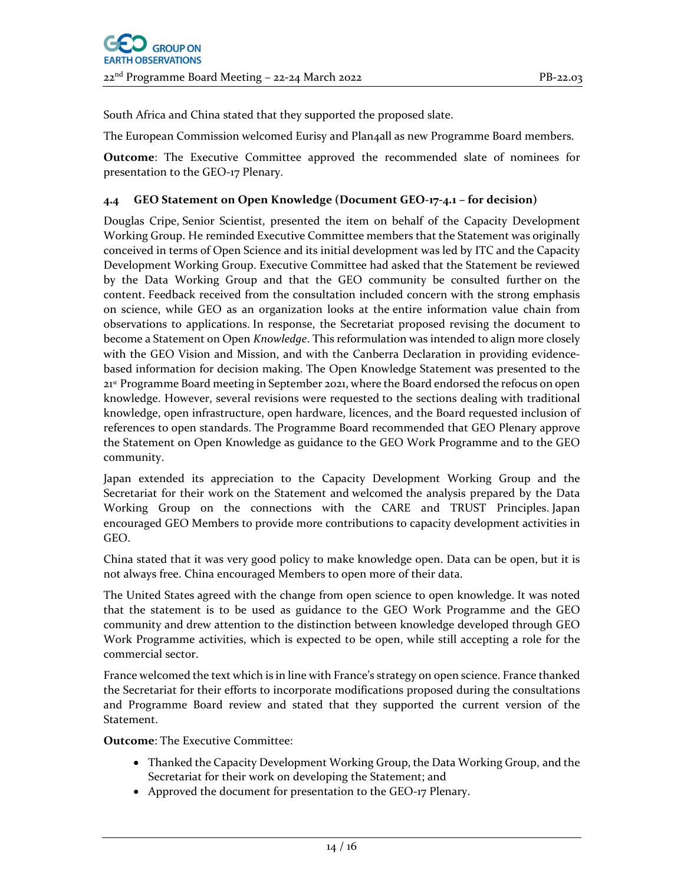South Africa and China stated that they supported the proposed slate.

The European Commission welcomed Eurisy and Plan4all as new Programme Board members.

**Outcome**: The Executive Committee approved the recommended slate of nominees for presentation to the GEO‐17 Plenary.

## **4.4 GEO Statement on Open Knowledge (Document GEO‐17‐4.1 – for decision)**

Douglas Cripe, Senior Scientist, presented the item on behalf of the Capacity Development Working Group. He reminded Executive Committee members that the Statement was originally conceived in terms of Open Science and its initial development was led by ITC and the Capacity Development Working Group. Executive Committee had asked that the Statement be reviewed by the Data Working Group and that the GEO community be consulted further on the content. Feedback received from the consultation included concern with the strong emphasis on science, while GEO as an organization looks at the entire information value chain from observations to applications. In response, the Secretariat proposed revising the document to become a Statement on Open *Knowledge*. This reformulation was intended to align more closely with the GEO Vision and Mission, and with the Canberra Declaration in providing evidence‐ based information for decision making. The Open Knowledge Statement was presented to the 21st Programme Board meeting in September 2021, where the Board endorsed the refocus on open knowledge. However, several revisions were requested to the sections dealing with traditional knowledge, open infrastructure, open hardware, licences, and the Board requested inclusion of references to open standards. The Programme Board recommended that GEO Plenary approve the Statement on Open Knowledge as guidance to the GEO Work Programme and to the GEO community.

Japan extended its appreciation to the Capacity Development Working Group and the Secretariat for their work on the Statement and welcomed the analysis prepared by the Data Working Group on the connections with the CARE and TRUST Principles. Japan encouraged GEO Members to provide more contributions to capacity development activities in GEO.

China stated that it was very good policy to make knowledge open. Data can be open, but it is not always free. China encouraged Members to open more of their data.

The United States agreed with the change from open science to open knowledge. It was noted that the statement is to be used as guidance to the GEO Work Programme and the GEO community and drew attention to the distinction between knowledge developed through GEO Work Programme activities, which is expected to be open, while still accepting a role for the commercial sector.

France welcomed the text which is in line with France's strategy on open science. France thanked the Secretariat for their efforts to incorporate modifications proposed during the consultations and Programme Board review and stated that they supported the current version of the Statement.

**Outcome**: The Executive Committee:

- Thanked the Capacity Development Working Group, the Data Working Group, and the Secretariat for their work on developing the Statement; and
- Approved the document for presentation to the GEO-17 Plenary.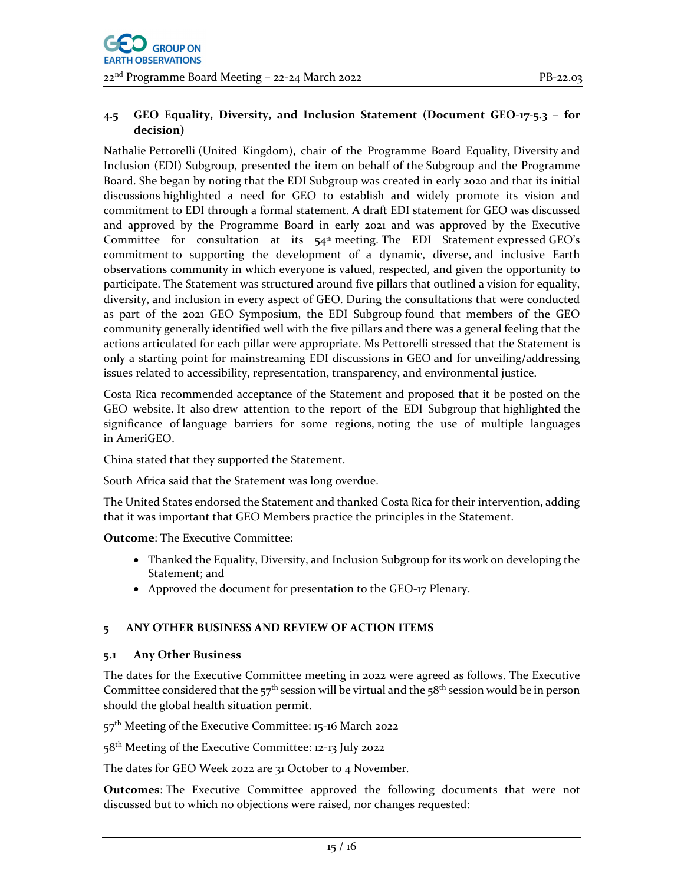## **4.5 GEO Equality, Diversity, and Inclusion Statement (Document GEO‐17‐5.3 – for decision)**

Nathalie Pettorelli (United Kingdom), chair of the Programme Board Equality, Diversity and Inclusion (EDI) Subgroup, presented the item on behalf of the Subgroup and the Programme Board. She began by noting that the EDI Subgroup was created in early 2020 and that its initial discussions highlighted a need for GEO to establish and widely promote its vision and commitment to EDI through a formal statement. A draft EDI statement for GEO was discussed and approved by the Programme Board in early 2021 and was approved by the Executive Committee for consultation at its  $54<sup>th</sup>$  meeting. The EDI Statement expressed GEO's commitment to supporting the development of a dynamic, diverse, and inclusive Earth observations community in which everyone is valued, respected, and given the opportunity to participate. The Statement was structured around five pillars that outlined a vision for equality, diversity, and inclusion in every aspect of GEO. During the consultations that were conducted as part of the 2021 GEO Symposium, the EDI Subgroup found that members of the GEO community generally identified well with the five pillars and there was a general feeling that the actions articulated for each pillar were appropriate. Ms Pettorelli stressed that the Statement is only a starting point for mainstreaming EDI discussions in GEO and for unveiling/addressing issues related to accessibility, representation, transparency, and environmental justice.

Costa Rica recommended acceptance of the Statement and proposed that it be posted on the GEO website. It also drew attention to the report of the EDI Subgroup that highlighted the significance of language barriers for some regions, noting the use of multiple languages in AmeriGEO.

China stated that they supported the Statement.

South Africa said that the Statement was long overdue.

The United States endorsed the Statement and thanked Costa Rica for their intervention, adding that it was important that GEO Members practice the principles in the Statement.

**Outcome**: The Executive Committee:

- Thanked the Equality, Diversity, and Inclusion Subgroup for its work on developing the Statement; and
- Approved the document for presentation to the GEO-17 Plenary.

## **5 ANY OTHER BUSINESS AND REVIEW OF ACTION ITEMS**

## **5.1 Any Other Business**

The dates for the Executive Committee meeting in 2022 were agreed as follows. The Executive Committee considered that the  $57<sup>th</sup>$  session will be virtual and the  $58<sup>th</sup>$  session would be in person should the global health situation permit.

57<sup>th</sup> Meeting of the Executive Committee: 15-16 March 2022

58<sup>th</sup> Meeting of the Executive Committee: 12-13 July 2022

The dates for GEO Week 2022 are 31 October to 4 November.

**Outcomes**: The Executive Committee approved the following documents that were not discussed but to which no objections were raised, nor changes requested: